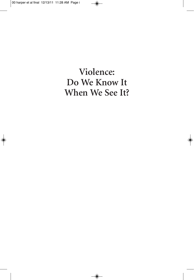**Violence: Do We Know It When We See It?**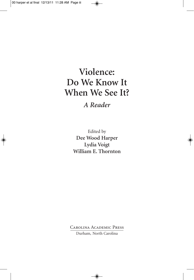# **Violence: Do We Know It When We See It?**

*A Reader*

Edited by **Dee Wood Harper Lydia Voigt William E. Thornton**

Carolina Academic Press

Durham, North Carolina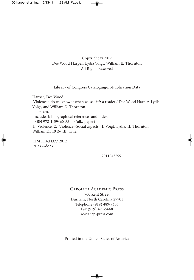## Copyright © 2012 Dee Wood Harper, Lydia Voigt, William E. Thornton All Rights Reserved

#### **Library of Congress Cataloging-in-Publication Data**

Harper, Dee Wood. Violence : do we know it when we see it?: a reader / Dee Wood Harper, Lydia Voigt, and William E. Thornton. p. cm. Includes bibliographical references and index. ISBN 978-1-59460-881-0 (alk. paper) 1. Violence. 2. Violence--Social aspects. I. Voigt, Lydia. II. Thornton, William E., 1946- III. Title.

HM1116.H377 2012 303.6--dc23

2011045299

Carolina Academic Press 700 Kent Street Durham, North Carolina 27701 Telephone (919) 489-7486 Fax (919) 493-5668 www.cap-press.com

Printed in the United States of America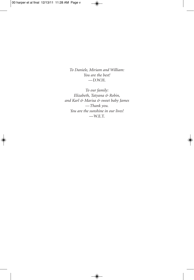*To Daniele, Miriam and William: You are the best!* —D.W.H.

*To our family: Elizabeth, Tatyana & Robin, and Karl & Marisa & sweet baby James —Thank you. You are the sunshine in our lives!* —W.E.T.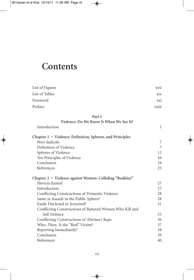# **Contents**

| List of Figures | xvii                     |
|-----------------|--------------------------|
| List of Tables  | xix                      |
| Foreword        | xxi                      |
| Preface         | $\cdots$<br><b>XX111</b> |

## **Part I**

| Violence: Do We Know It When We See It?                   |    |
|-----------------------------------------------------------|----|
| Introduction                                              | 1  |
| Chapter 1 • Violence: Definition, Spheres, and Principles |    |
| Peter Iadicola                                            | 7  |
| Definition of Violence                                    | 7  |
| Spheres of Violence                                       | 12 |
| Ten Principles of Violence                                | 16 |
| Conclusion                                                | 24 |
| References                                                | 25 |
| Chapter 2 • Violence against Women: Colliding "Realities" |    |
| Patricia Easteal                                          | 27 |
| Introduction                                              | 27 |
| Conflicting Constructions of Domestic Violence            | 28 |
| Same as Assault in the Public Sphere?                     | 28 |
| Easily Disclosed or Screened?                             | 31 |
| Conflicting Constructions of Battered Women Who Kill and  |    |
| Self-Defence                                              | 33 |
| Conflicting Constructions of (Partner) Rape               | 36 |
| Who, Then, Is the "Real" Victim?                          | 37 |
| Reporting Immediately?                                    | 38 |
| Conclusion                                                | 39 |
| References                                                | 40 |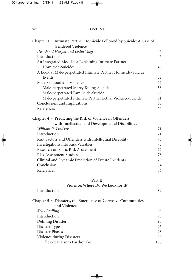| $\cdots$<br><b>V111</b> | <b>CONTENTS</b> |
|-------------------------|-----------------|
|                         |                 |

| Chapter 3 • Intimate Partner Homicide Followed by Suicide: A Case of<br><b>Gendered Violence</b>             |     |
|--------------------------------------------------------------------------------------------------------------|-----|
| Dee Wood Harper and Lydia Voigt                                                                              | 45  |
| Introduction                                                                                                 | 45  |
| An Integrated Model for Explaining Intimate Partner                                                          |     |
| Homicide-Suicides                                                                                            | 48  |
| A Look at Male-perpetrated Intimate Partner Homicide-Suicide                                                 |     |
| Events                                                                                                       | 52  |
| Male Selfhood and Violence                                                                                   | 57  |
| Male-perpetrated Mercy Killing-Suicide                                                                       | 58  |
| Male-perpetrated Familicide-Suicide                                                                          | 60  |
| Male-perpetrated Intimate Partner Lethal Violence-Suicide                                                    | 61  |
| Conclusions and Implications                                                                                 | 63  |
| References                                                                                                   | 65  |
| Chapter 4 • Predicting the Risk of Violence in Offenders<br>with Intellectual and Developmental Disabilities |     |
| William R. Lindsay                                                                                           | 71  |
| Introduction                                                                                                 | 71  |
| Risk Factors and Offenders with Intellectual Disability                                                      | 73  |
| Investigations into Risk Variables                                                                           | 75  |
| Research on Static Risk Assessment                                                                           | 77  |
| <b>Risk Assessment Studies</b>                                                                               | 78  |
| Clinical and Dynamic Prediction of Future Incidents                                                          | 79  |
| Conclusion                                                                                                   | 84  |
| References                                                                                                   | 84  |
| Part II                                                                                                      |     |
| Violence: Where Do We Look for It?                                                                           |     |
| Introduction                                                                                                 | 89  |
| Chapter 5 • Disasters, the Emergence of Corrosive Communities<br>and Violence                                |     |
| Kelly Frailing                                                                                               | 93  |
| Introduction                                                                                                 | 93  |
| Defining Disaster                                                                                            | 93  |
| Disaster Types                                                                                               | 95  |
| Disaster Phases                                                                                              | 98  |
| Violence during Disasters                                                                                    | 99  |
| The Great Kanto Earthquake                                                                                   | 100 |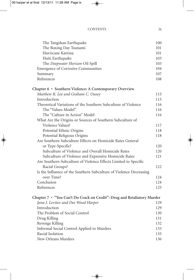| The Boxing Day Tsunami<br>Hurricane Katrina<br>Haiti Earthquake<br>The Deepwater Horizon Oil Spill<br><b>Emergence of Corrosive Communities</b><br>Summary<br>References<br>Chapter 6 • Southern Violence: A Contemporary Overview<br>Matthew R. Lee and Graham C. Ousey<br>Introduction<br>Theoretical Variations of the Southern Subculture of Violence<br>The "Values Model"<br>The "Culture in Action" Model<br>What Are the Origins or Sources of Southern Subculture of<br>Violence Values?<br>Potential Ethnic Origins<br>Potential Religious Origins<br>Are Southern Subculture Effects on Homicide Rates General<br>or Type-Specific?<br>Subculture of Violence and Overall Homicide Rates<br>Subculture of Violence and Expressive Homicide Rates<br>Are Southern Subculture of Violence Effects Limited to Specific<br>Racial Groups?<br>Is the Influence of the Southern Subculture of Violence Decreasing<br>over Time?<br>Conclusion<br>References<br>Chapter 7 • "You Can't Do Crack on Credit": Drug and Retaliatory Murder<br>Jana J. Levitov and Dee Wood Harper<br>Introduction<br>The Problem of Social Control<br>Drug Killing<br>Revenge Killing<br>Informal Social Control Applied to Murders<br>Racial Isolation | The Tangshan Earthquake | 100 |
|------------------------------------------------------------------------------------------------------------------------------------------------------------------------------------------------------------------------------------------------------------------------------------------------------------------------------------------------------------------------------------------------------------------------------------------------------------------------------------------------------------------------------------------------------------------------------------------------------------------------------------------------------------------------------------------------------------------------------------------------------------------------------------------------------------------------------------------------------------------------------------------------------------------------------------------------------------------------------------------------------------------------------------------------------------------------------------------------------------------------------------------------------------------------------------------------------------------------------------------|-------------------------|-----|
|                                                                                                                                                                                                                                                                                                                                                                                                                                                                                                                                                                                                                                                                                                                                                                                                                                                                                                                                                                                                                                                                                                                                                                                                                                          |                         | 101 |
|                                                                                                                                                                                                                                                                                                                                                                                                                                                                                                                                                                                                                                                                                                                                                                                                                                                                                                                                                                                                                                                                                                                                                                                                                                          |                         | 101 |
|                                                                                                                                                                                                                                                                                                                                                                                                                                                                                                                                                                                                                                                                                                                                                                                                                                                                                                                                                                                                                                                                                                                                                                                                                                          |                         | 103 |
|                                                                                                                                                                                                                                                                                                                                                                                                                                                                                                                                                                                                                                                                                                                                                                                                                                                                                                                                                                                                                                                                                                                                                                                                                                          |                         | 103 |
|                                                                                                                                                                                                                                                                                                                                                                                                                                                                                                                                                                                                                                                                                                                                                                                                                                                                                                                                                                                                                                                                                                                                                                                                                                          |                         | 104 |
|                                                                                                                                                                                                                                                                                                                                                                                                                                                                                                                                                                                                                                                                                                                                                                                                                                                                                                                                                                                                                                                                                                                                                                                                                                          |                         | 107 |
|                                                                                                                                                                                                                                                                                                                                                                                                                                                                                                                                                                                                                                                                                                                                                                                                                                                                                                                                                                                                                                                                                                                                                                                                                                          |                         | 108 |
|                                                                                                                                                                                                                                                                                                                                                                                                                                                                                                                                                                                                                                                                                                                                                                                                                                                                                                                                                                                                                                                                                                                                                                                                                                          |                         |     |
|                                                                                                                                                                                                                                                                                                                                                                                                                                                                                                                                                                                                                                                                                                                                                                                                                                                                                                                                                                                                                                                                                                                                                                                                                                          |                         | 115 |
|                                                                                                                                                                                                                                                                                                                                                                                                                                                                                                                                                                                                                                                                                                                                                                                                                                                                                                                                                                                                                                                                                                                                                                                                                                          |                         | 115 |
|                                                                                                                                                                                                                                                                                                                                                                                                                                                                                                                                                                                                                                                                                                                                                                                                                                                                                                                                                                                                                                                                                                                                                                                                                                          |                         | 116 |
|                                                                                                                                                                                                                                                                                                                                                                                                                                                                                                                                                                                                                                                                                                                                                                                                                                                                                                                                                                                                                                                                                                                                                                                                                                          |                         | 116 |
|                                                                                                                                                                                                                                                                                                                                                                                                                                                                                                                                                                                                                                                                                                                                                                                                                                                                                                                                                                                                                                                                                                                                                                                                                                          |                         | 116 |
|                                                                                                                                                                                                                                                                                                                                                                                                                                                                                                                                                                                                                                                                                                                                                                                                                                                                                                                                                                                                                                                                                                                                                                                                                                          |                         |     |
|                                                                                                                                                                                                                                                                                                                                                                                                                                                                                                                                                                                                                                                                                                                                                                                                                                                                                                                                                                                                                                                                                                                                                                                                                                          |                         | 117 |
|                                                                                                                                                                                                                                                                                                                                                                                                                                                                                                                                                                                                                                                                                                                                                                                                                                                                                                                                                                                                                                                                                                                                                                                                                                          |                         | 118 |
|                                                                                                                                                                                                                                                                                                                                                                                                                                                                                                                                                                                                                                                                                                                                                                                                                                                                                                                                                                                                                                                                                                                                                                                                                                          |                         | 118 |
|                                                                                                                                                                                                                                                                                                                                                                                                                                                                                                                                                                                                                                                                                                                                                                                                                                                                                                                                                                                                                                                                                                                                                                                                                                          |                         |     |
|                                                                                                                                                                                                                                                                                                                                                                                                                                                                                                                                                                                                                                                                                                                                                                                                                                                                                                                                                                                                                                                                                                                                                                                                                                          |                         | 120 |
|                                                                                                                                                                                                                                                                                                                                                                                                                                                                                                                                                                                                                                                                                                                                                                                                                                                                                                                                                                                                                                                                                                                                                                                                                                          |                         | 120 |
|                                                                                                                                                                                                                                                                                                                                                                                                                                                                                                                                                                                                                                                                                                                                                                                                                                                                                                                                                                                                                                                                                                                                                                                                                                          |                         | 121 |
|                                                                                                                                                                                                                                                                                                                                                                                                                                                                                                                                                                                                                                                                                                                                                                                                                                                                                                                                                                                                                                                                                                                                                                                                                                          |                         |     |
|                                                                                                                                                                                                                                                                                                                                                                                                                                                                                                                                                                                                                                                                                                                                                                                                                                                                                                                                                                                                                                                                                                                                                                                                                                          |                         | 122 |
|                                                                                                                                                                                                                                                                                                                                                                                                                                                                                                                                                                                                                                                                                                                                                                                                                                                                                                                                                                                                                                                                                                                                                                                                                                          |                         |     |
|                                                                                                                                                                                                                                                                                                                                                                                                                                                                                                                                                                                                                                                                                                                                                                                                                                                                                                                                                                                                                                                                                                                                                                                                                                          |                         | 124 |
|                                                                                                                                                                                                                                                                                                                                                                                                                                                                                                                                                                                                                                                                                                                                                                                                                                                                                                                                                                                                                                                                                                                                                                                                                                          |                         | 124 |
|                                                                                                                                                                                                                                                                                                                                                                                                                                                                                                                                                                                                                                                                                                                                                                                                                                                                                                                                                                                                                                                                                                                                                                                                                                          |                         | 125 |
|                                                                                                                                                                                                                                                                                                                                                                                                                                                                                                                                                                                                                                                                                                                                                                                                                                                                                                                                                                                                                                                                                                                                                                                                                                          |                         |     |
|                                                                                                                                                                                                                                                                                                                                                                                                                                                                                                                                                                                                                                                                                                                                                                                                                                                                                                                                                                                                                                                                                                                                                                                                                                          |                         | 129 |
|                                                                                                                                                                                                                                                                                                                                                                                                                                                                                                                                                                                                                                                                                                                                                                                                                                                                                                                                                                                                                                                                                                                                                                                                                                          |                         | 129 |
|                                                                                                                                                                                                                                                                                                                                                                                                                                                                                                                                                                                                                                                                                                                                                                                                                                                                                                                                                                                                                                                                                                                                                                                                                                          |                         | 130 |
|                                                                                                                                                                                                                                                                                                                                                                                                                                                                                                                                                                                                                                                                                                                                                                                                                                                                                                                                                                                                                                                                                                                                                                                                                                          |                         | 131 |
|                                                                                                                                                                                                                                                                                                                                                                                                                                                                                                                                                                                                                                                                                                                                                                                                                                                                                                                                                                                                                                                                                                                                                                                                                                          |                         | 132 |
|                                                                                                                                                                                                                                                                                                                                                                                                                                                                                                                                                                                                                                                                                                                                                                                                                                                                                                                                                                                                                                                                                                                                                                                                                                          |                         | 133 |
|                                                                                                                                                                                                                                                                                                                                                                                                                                                                                                                                                                                                                                                                                                                                                                                                                                                                                                                                                                                                                                                                                                                                                                                                                                          |                         | 135 |

| Racial Isolation    | 135 |
|---------------------|-----|
| New Orleans Murders | 136 |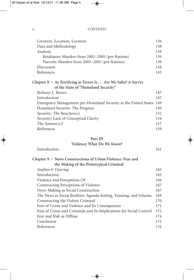Location, Location, Location 136

| Data and Methodology                                                                                 | 138 |
|------------------------------------------------------------------------------------------------------|-----|
| Analysis                                                                                             | 139 |
| Retaliatory Murders from 2003–2005 (pre-Katrina)                                                     | 139 |
| Narcotic Murders from 2003-2005 (pre-Katrina)                                                        | 139 |
| Discussion                                                                                           | 144 |
| References                                                                                           | 145 |
| Chapter 8 • As Terrifying as Terror Is Are We Safer? A Survey<br>of the State of "Homeland Security" |     |
| Bethany L. Brown                                                                                     | 147 |
| Introduction                                                                                         | 147 |
| Emergency Management pre-Homeland Security in the United States                                      | 149 |
| Homeland Security: The Progress                                                                      | 150 |
| Security: The Reaction(s)                                                                            | 152 |
| Security: Lack of Conceptual Clarity                                                                 | 154 |
| The Answer $(s)$ ?                                                                                   | 157 |
| References                                                                                           | 159 |
| $D_{\alpha} + III$                                                                                   |     |

#### **Part III**

## **Violence: What Do We Know?** Introduction 161

| the Making of the Prototypical Criminal                             |     |
|---------------------------------------------------------------------|-----|
| Stephen F. Ostertag                                                 | 165 |
| Introduction                                                        | 165 |
| Violence and Perceptions Of                                         | 166 |
| Constructing Perceptions of Violence                                | 167 |
| News-Making as Social Construction                                  | 167 |
| The News as Social Realities: Agenda-Setting, Framing, and Schema   | 169 |
| Constructing the Violent Criminal                                   | 170 |
| Fear of Crime and Violence and Its Consequences                     | 171 |
| Fear of Crime and Criminals and Its Implications for Social Control | 172 |
| Fear and Risk as Diffuse                                            | 174 |
| Conclusion                                                          | 175 |
| References                                                          | 176 |
|                                                                     |     |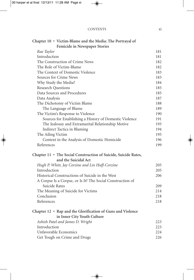#### CONTENTS xi

| Chapter 10 • Victim-Blame and the Media: The Portrayal of       |     |
|-----------------------------------------------------------------|-----|
| Femicide in Newspaper Stories                                   |     |
| Rae Taylor                                                      | 181 |
| Introduction                                                    | 181 |
| The Construction of Crime News                                  | 182 |
| The Role of Victim-Blame                                        | 182 |
| The Context of Domestic Violence                                | 183 |
| Sources for Crime News                                          | 183 |
| Why Study the Media?                                            | 184 |
| <b>Research Questions</b>                                       | 185 |
| Data Sources and Procedures                                     | 185 |
| Data Analysis                                                   | 187 |
| The Dichotomy of Victim Blame                                   | 188 |
| The Language of Blame                                           | 189 |
| The Victim's Response to Violence                               | 190 |
| Sources for Establishing a History of Domestic Violence         | 191 |
| The Jealousy and Extramarital Relationship Motive               | 193 |
| Indirect Tactics in Blaming                                     | 194 |
| The Ailing Victim                                               | 195 |
| Context in the Analysis of Domestic Homicide                    | 196 |
| References                                                      | 199 |
| Chapter 11 • The Social Construction of Suicide, Suicide Rates, |     |
| and the Suicidal Act                                            |     |
| Hugh P. Whitt, Jay Corzine and Lin Huff-Corzine                 | 205 |
| Introduction                                                    | 205 |
| Historical Constructions of Suicide in the West                 | 206 |
| A Corpse Is a Corpse, or Is It? The Social Construction of      |     |
| Suicide Rates                                                   | 209 |
| The Meaning of Suicide for Victims                              | 214 |
| Conclusion                                                      | 218 |
| References                                                      | 218 |
| Chapter 12 • Rap and the Glorification of Guns and Violence     |     |
| in Inner City Youth Culture                                     |     |
| Ashish Patel and James D. Wright                                | 223 |
| Introduction                                                    | 223 |
| Unfavorable Economics                                           | 224 |
| Get Tough on Crime and Drugs                                    | 226 |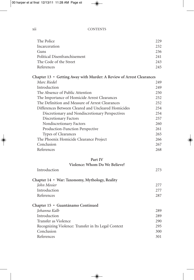### xii CONTENTS

| The Police                                                           | 229 |
|----------------------------------------------------------------------|-----|
| Incarceration                                                        | 232 |
| Guns                                                                 | 236 |
| Political Disenfranchisement                                         | 241 |
| The Code of the Street                                               | 243 |
| References                                                           | 245 |
| Chapter 13 • Getting Away with Murder: A Review of Arrest Clearances |     |
| Marc Riedel                                                          | 249 |
| Introduction                                                         | 249 |
| The Absence of Public Attention                                      | 250 |
| The Importance of Homicide Arrest Clearances                         | 252 |
| The Definition and Measure of Arrest Clearances                      | 252 |
| Differences Between Cleared and Uncleared Homicides                  | 254 |
| Discretionary and Nondiscretionary Perspectives                      | 254 |
| Discretionary Factors                                                | 257 |
| Nondiscretionary Factors                                             | 260 |
| Production-Function Perspective                                      | 261 |
| Types of Clearances                                                  | 265 |
| The Phoenix Homicide Clearance Project                               | 266 |
| Conclusion                                                           | 267 |
| References                                                           | 268 |
| Part IV                                                              |     |
| Violence: Whom Do We Believe?                                        |     |
| Introduction                                                         | 273 |
| Chapter 14 • War: Taxonomy, Mythology, Reality                       |     |
| John Mosier                                                          | 277 |
| Introduction                                                         | 277 |
| References                                                           | 287 |
| Chapter 15 · Guantánamo Continued                                    |     |
| Johanna Kalb                                                         | 289 |
| Introduction                                                         | 289 |
| Transfer as Violence                                                 | 290 |
| Recognizing Violence: Transfer in Its Legal Context                  | 295 |
| Conclusion                                                           | 300 |

Conclusion 300<br>References 301

References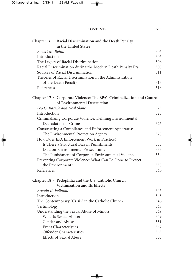## CONTENTS xiii

| Chapter 16 · Racial Discrimination and the Death Penalty               |     |
|------------------------------------------------------------------------|-----|
| in the United States                                                   |     |
| Robert M. Bohm                                                         | 305 |
| Introduction                                                           | 305 |
| The Legacy of Racial Discrimination                                    | 306 |
| Racial Discrimination during the Modern Death Penalty Era              | 308 |
| Sources of Racial Discrimination                                       | 311 |
| Theories of Racial Discrimination in the Administration                |     |
| of the Death Penalty                                                   | 313 |
| References                                                             | 316 |
| Chapter 17 • Corporate Violence: The EPA's Criminalization and Control |     |
| of Environmental Destruction                                           |     |
| Leo G. Barrile and Neal Slone                                          | 323 |
| Introduction                                                           | 323 |
| Criminalizing Corporate Violence: Defining Environmental               |     |
| Degradation as Crime                                                   | 325 |
| Constructing a Compliance and Enforcement Apparatus:                   |     |
| The Environmental Protection Agency                                    | 328 |
| How Does EPA Enforcement Work in Practice?                             |     |
| Is There a Structural Bias in Punishment?                              | 333 |
| Data on Environmental Prosecutions                                     | 333 |
| The Punishment of Corporate Environmental Violence                     | 334 |
| Preventing Corporate Violence: What Can Be Done to Protect             |     |
| the Environment?                                                       | 338 |
| References                                                             | 340 |
| Chapter 18 · Pedophilia and the U.S. Catholic Church:                  |     |
| Victimization and Its Effects                                          |     |
| Brenda K. Vollman                                                      | 345 |
| Introduction                                                           | 345 |
| The Contemporary "Crisis" in the Catholic Church                       | 346 |
| Victimology                                                            | 348 |
| Understanding the Sexual Abuse of Minors                               | 349 |
| What Is Sexual Abuse?                                                  | 349 |
| Gender and Abuse                                                       | 351 |
| <b>Event Characteristics</b>                                           | 352 |
| Offender Characteristics                                               | 353 |
| <b>Effects of Sexual Abuse</b>                                         | 355 |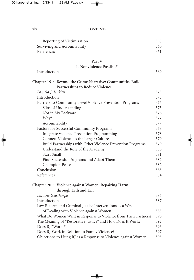xiv CONTENTS

| Reporting of Victimization   | 358 |
|------------------------------|-----|
| Surviving and Accountability | 360 |
| References                   | 361 |
| Part V                       |     |
| Is Nonviolence Possible?     |     |

| Introduction                                                    |     |  |
|-----------------------------------------------------------------|-----|--|
| Chapter 19 • Beyond the Crime Narrative: Communities Build      |     |  |
| Partnerships to Reduce Violence                                 |     |  |
| Pamela J. Jenkins                                               | 373 |  |
| Introduction                                                    | 373 |  |
| Barriers to Community-Level Violence Prevention Programs        | 375 |  |
| Silos of Understanding                                          | 375 |  |
| Not in My Backyard                                              | 376 |  |
| Why?                                                            | 377 |  |
| Accountability                                                  | 377 |  |
| Factors for Successful Community Programs                       | 378 |  |
| Integrate Violence Prevention Programming                       | 378 |  |
| Connect Violence to the Larger Culture                          | 379 |  |
| Build Partnerships with Other Violence Prevention Programs      | 379 |  |
| Understand the Role of the Academy                              | 380 |  |
| Start Small                                                     | 381 |  |
| Find Successful Programs and Adapt Them                         | 382 |  |
| Champion Peace                                                  | 382 |  |
| Conclusion                                                      | 383 |  |
| References                                                      | 384 |  |
| Chapter 20 • Violence against Women: Repairing Harm             |     |  |
| through Kith and Kin                                            |     |  |
| Loraine Gelsthorpe                                              | 387 |  |
| Introduction                                                    | 387 |  |
| Law Reform and Criminal Justice Interventions as a Way          |     |  |
| of Dealing with Violence against Women                          | 388 |  |
| What Do Women Want in Response to Violence from Their Partners? | 390 |  |
| The Meaning of "Restorative Justice" and How Does It Work?      | 392 |  |
| Does RJ "Work"?                                                 | 396 |  |
| Does RJ Work in Relation to Family Violence?                    | 397 |  |
| Objections to Using RJ as a Response to Violence against Women  | 398 |  |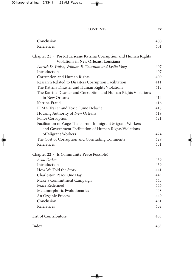#### CONTENTS xv

| Conclusion                                                      | 400 |
|-----------------------------------------------------------------|-----|
| References                                                      | 401 |
| Chapter 21 • Post-Hurricane Katrina Corruption and Human Rights |     |
| Violations in New Orleans, Louisiana                            |     |
| Patrick D. Walsh, William E. Thornton and Lydia Voigt           | 407 |
| Introduction                                                    | 407 |
| Corruption and Human Rights                                     | 409 |
| Research Related to Disasters Corruption Facilitation           | 411 |
| The Katrina Disaster and Human Rights Violations                | 412 |
| The Katrina Disaster and Corruption and Human Rights Violations |     |
| in New Orleans                                                  | 414 |
| Katrina Fraud                                                   | 416 |
| FEMA Trailer and Toxic Fume Debacle                             | 418 |
| Housing Authority of New Orleans                                | 419 |
| Police Corruption                                               | 421 |
| Facilitation of Wage Thefts from Immigrant Migrant Workers      |     |
| and Government Facilitation of Human Rights Violations          |     |
| of Migrant Workers                                              | 424 |
| The Cost of Corruption and Concluding Comments                  | 429 |
| References                                                      | 431 |
| Chapter 22 · Is Community Peace Possible?                       |     |
| Reba Parker                                                     | 439 |
| Introduction                                                    | 439 |
| How We Told the Story                                           | 441 |
| Charleston Peace One Day                                        | 443 |
| Make a Commitment Campaign                                      | 445 |
| Peace Redefined                                                 | 446 |
| Metamorphoric Evolutionaries                                    | 448 |
| An Organic Process                                              | 449 |
| Conclusion                                                      | 451 |
| References                                                      | 452 |
| <b>List of Contributors</b>                                     | 453 |
| Index                                                           | 463 |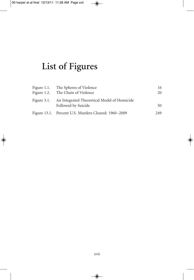# **List of Figures**

| Figure 1.1. The Spheres of Violence                     | 16  |
|---------------------------------------------------------|-----|
| Figure 1.2. The Chain of Violence                       | 20  |
| Figure 3.1. An Integrated Theoretical Model of Homicide |     |
| Followed by Suicide                                     | 50  |
| Figure 13.1. Percent U.S. Murders Cleared: 1960–2009    | 249 |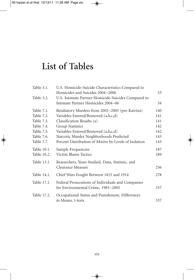# **List of Tables**

| Table 3.1.  | U.S. Homicide-Suicide Characteristics Compared to     |     |
|-------------|-------------------------------------------------------|-----|
|             | Homicides and Suicides 2004-2006                      | 53  |
| Table 3.2.  | U.S. Intimate Partner Homicide-Suicides Compared to   |     |
|             | Intimate Partner Homicides 2004–06                    | 54  |
| Table 7.1.  | Retaliatory Murders from 2003-2005 (pre-Katrina)      | 140 |
| Table 7.2.  | Variables Entered/Removed (a,b,c,d)                   | 141 |
| Table 7.3.  | Classification Results (a)                            | 141 |
| Table 7.4.  | <b>Group Statistics</b>                               | 142 |
| Table 7.5.  | Variables Entered/Removed (a,b,c,d)                   | 142 |
| Table 7.6.  | Narcotic Murder Neighborhoods Predicted               | 143 |
| Table 7.7.  | Percent Distribution of Motive by Levels of Isolation | 143 |
| Table 10.1. | Sample Frequencies                                    | 187 |
| Table 10.2. | Victim Blame Tactics                                  | 189 |
| Table 13.1. | Researchers, Years Studied, Data, Statistic, and      |     |
|             | Clearance Measure                                     | 256 |
| Table 14.1. | Chief Wars Fought Between 1815 and 1914               | 278 |
| Table 17.1. | Federal Prosecutions of Individuals and Companies     |     |
|             | for Environmental Crime, 1983-2005                    | 337 |
| Table 17.2. | Occupational Status and Punishment, Differences       |     |
|             | in Means, t-tests                                     | 337 |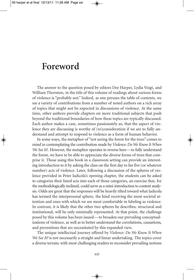## **Foreword**

The answer to the question posed by editors Dee Harper, Lydia Voigt, and William Thornton, in the title of this volume of readings about various forms of violence is "probably not." Indeed, as one peruses the table of contents, we see a variety of contributions from a number of noted authors on a rich array of topics that might not be expected in discussions of violence. At the same time, other authors provide chapters on more traditional subjects that push beyond the traditional boundaries of how these topics are typically discussed. Each author makes a case, sometimes passionately so, that the aspect of violence they are discussing is worthy of (re)consideration if we are to fully understand and attempt to respond to violence as a form of human behavior.

In some ways, the metaphor of "not seeing the forest for the trees" comes to mind in contemplating the contribution made by *Violence: Do We Know It When We See It?*. However, the metaphor operates in reverse here—to fully understand the forest, we have to be able to appreciate the diverse forms of trees that comprise it. Those using this book in a classroom setting can provide an interesting introduction to it by asking the class on the first day to list five (or whatever number) acts of violence. Later, following a discussion of the spheres of violence provided in Peter Iadicola's opening chapter, the students can be asked to categorize their listed acts into each of those categories, an exercise that, for the methodologically inclined, could serve as a mini-introduction to content analysis. Odds are great that the responses will be heavily tilted toward what Iadicola has termed the interpersonal sphere, the kind receiving the most societal attention and ones with which we are most comfortable in labeling as violence. In contrast, it is likely that the other two spheres he describes, structural and institutional, will be only minimally represented. At that point, the challenge posed by this volume has been issued—to broaden our prevailing conceptualizations of violence, as well as to better understand the correlations, causations, and preventions that are necessitated by this expanded view.

The unique intellectual journey offered by *Violence: Do We Know It When We See It?* is not necessarily a straight and linear undertaking. The topics cover a diverse terrain; with most challenging readers to reconsider prevailing notions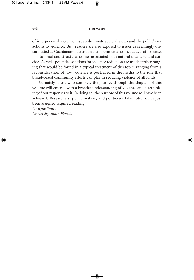#### xxii FOREWORD

of interpersonal violence that so dominate societal views and the public's reactions to violence. But, readers are also exposed to issues as seemingly disconnected as Guantanamo detentions, environmental crimes as acts of violence, institutional and structural crimes associated with natural disasters, and suicide. As well, potential solutions for violence reduction are much farther ranging that would be found in a typical treatment of this topic, ranging from a reconsideration of how violence is portrayed in the media to the role that broad-based community efforts can play in reducing violence of all kinds.

Ultimately, those who complete the journey through the chapters of this volume will emerge with a broader understanding of violence and a rethinking of our responses to it. In doing so, the purpose of this volume will have been achieved. Researchers, policy makers, and politicians take note: you've just been assigned required reading.

*Dwayne Smith University South Florida*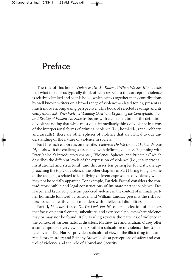# **Preface**

The title of this book, *Violence: Do We Know It When We See It?* suggests that what most of us typically think of with respect to the concept of violence is relatively limited and so this book, which brings together many contributions by well known writers on a broad range of violence –related topics, presents a much more encompassing perspective. This book of selected readings and its companion text, *Why Violence? Leading Questions Regarding the Conceptualization and Reality of Violence in Society*, begins with a consideration of the definition of violence noting that while most of us immediately think of violence in terms of the interpersonal forms of criminal violence (i.e., homicide, rape, robbery, and assaults), there are other spheres of violence that are critical to our understanding of the nature of violence in society.

Part I, which elaborates on the title, *Violence: Do We Know It When We See It?*, deals with the challenges associated with defining violence. Beginning with Peter Iadicola's introductory chapter, "Violence, Spheres, and Principles,"which describes the different levels of the expression of violence (i.e., interpersonal, institutional and structural) and discusses ten principles for critically approaching the topic of violence, the other chapters in Part I bring to light some of the challenges related to identifying different expressions of violence, which may not be socially apparent. For example, Patricia Easteal considers the contradictory public and legal constructions of intimate partner violence; Dee Harper and Lydia Voigt discuss gendered violence in the context of intimate partner homicide followed by suicide; and William Lindsay presents the risk factors associated with violent offenders with intellectual disabilities.

Part II, *Violence: Where Do We Look For It?*, offers a selection of chapters that focus on natural events, subculture, and even social policies where violence may or may not be found. Kelly Frailing reviews the patterns of violence in the context of various natural disasters; Mathew Lee and Graham Ousey offer a contemporary overview of the Southern subculture of violence thesis; Jana Levitov and Dee Harper provide a subcultural view of the illicit drug trade and retaliatory murder; and Bethany Brown looks at perceptions of safety and control of violence and the role of Homeland Security.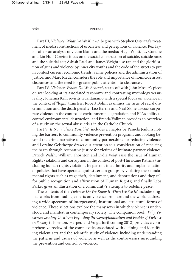#### xxiv PREFACE

Part III, *Violence: What Do We Know?*, begins with Stephen Ostertag's treatment of media constructions of urban fear and perceptions of violence; Rea Taylor offers an analysis of victim blame and the media; Hugh Whitt, Jay Corzine and Lin Huff Corzine focus on the social construction of suicide, suicide rates and the suicidal act; Ashish Patel and James Wright use rap and the glorification of guns and violence by inner city youths and the code of the streets to put in context current economic trends, crime policies and the administration of justice; and Marc Riedel considers the role and importance of homicide arrest clearances and the need for greater public attention to clearances.

Part IV, *Violence: Whom Do We Believe?*, starts off with John Mosier's piece on war looking at its associated taxonomy and contrasting mythology versus reality; Johanna Kalh revisits Guantanamo with a special focus on violence in the context of "legal" transfers; Robert Bohm examines the issue of racial discrimination and the death penalty; Leo Barrile and Neal Slone discuss corporate violence in the context of environmental degradation and EPA's ability to control environmental destruction; and Brenda Vollman provides an overview of a study on the sexual abuse crisis in the Catholic Church.

Part V, *Is Nonviolence Possible?*, includes a chapter by Pamela Jenkins noting the barriers to community violence prevention programs and looking beyond the crime narrative to community partnerships for reducing violence; and Loraine Gelsthorpe draws our attention to a consideration of repairing the harm through restorative justice for victims of intimate partner violence; Patrick Walsh, William Thornton and Lydia Voigt raise the issue of Human Rights violations and corruption in the context of post-Hurricane Katrina (including human rights violations by persons in authority and implementation of policies that have operated against certain groups by violating their fundamental rights such as wage theft, detainment, and deportation) and they call for public recognition and affirmation of Human Rights; and finally Reba Parker gives an illustration of a community's attempts to redefine peace.

The contents of the *Violence: Do We Know It When We See It?* includes original works from leading experts on violence from around the world addressing a wide spectrum of interpersonal, institutional and structural forms of violence. These selections explore the many ways in which violence is understood and manifest in contemporary society. The companion book, *Why Violence? Leading Questions Regarding the Conceptualization and Reality of Violence in Society* (Thornton, Harper, and Voigt, forthcoming 2012) provides a comprehensive review of the complexities associated with defining and identifying violent acts and the scientific study of violence including understanding the patterns and causes of violence as well as the controversies surrounding the prevention and control of violence.